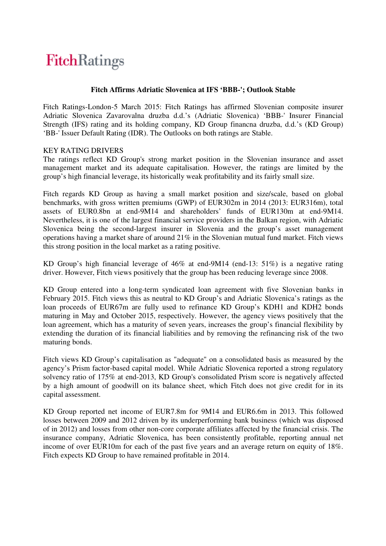## **FitchRatings**

#### **Fitch Affirms Adriatic Slovenica at IFS 'BBB-'; Outlook Stable**

Fitch Ratings-London-5 March 2015: Fitch Ratings has affirmed Slovenian composite insurer Adriatic Slovenica Zavarovalna druzba d.d.'s (Adriatic Slovenica) 'BBB-' Insurer Financial Strength (IFS) rating and its holding company, KD Group financna druzba, d.d.'s (KD Group) 'BB-' Issuer Default Rating (IDR). The Outlooks on both ratings are Stable.

#### KEY RATING DRIVERS

The ratings reflect KD Group's strong market position in the Slovenian insurance and asset management market and its adequate capitalisation. However, the ratings are limited by the group's high financial leverage, its historically weak profitability and its fairly small size.

Fitch regards KD Group as having a small market position and size/scale, based on global benchmarks, with gross written premiums (GWP) of EUR302m in 2014 (2013: EUR316m), total assets of EUR0.8bn at end-9M14 and shareholders' funds of EUR130m at end-9M14. Nevertheless, it is one of the largest financial service providers in the Balkan region, with Adriatic Slovenica being the second-largest insurer in Slovenia and the group's asset management operations having a market share of around 21% in the Slovenian mutual fund market. Fitch views this strong position in the local market as a rating positive.

KD Group's high financial leverage of 46% at end-9M14 (end-13: 51%) is a negative rating driver. However, Fitch views positively that the group has been reducing leverage since 2008.

KD Group entered into a long-term syndicated loan agreement with five Slovenian banks in February 2015. Fitch views this as neutral to KD Group's and Adriatic Slovenica's ratings as the loan proceeds of EUR67m are fully used to refinance KD Group's KDH1 and KDH2 bonds maturing in May and October 2015, respectively. However, the agency views positively that the loan agreement, which has a maturity of seven years, increases the group's financial flexibility by extending the duration of its financial liabilities and by removing the refinancing risk of the two maturing bonds.

Fitch views KD Group's capitalisation as "adequate" on a consolidated basis as measured by the agency's Prism factor-based capital model. While Adriatic Slovenica reported a strong regulatory solvency ratio of 175% at end-2013, KD Group's consolidated Prism score is negatively affected by a high amount of goodwill on its balance sheet, which Fitch does not give credit for in its capital assessment.

KD Group reported net income of EUR7.8m for 9M14 and EUR6.6m in 2013. This followed losses between 2009 and 2012 driven by its underperforming bank business (which was disposed of in 2012) and losses from other non-core corporate affiliates affected by the financial crisis. The insurance company, Adriatic Slovenica, has been consistently profitable, reporting annual net income of over EUR10m for each of the past five years and an average return on equity of 18%. Fitch expects KD Group to have remained profitable in 2014.